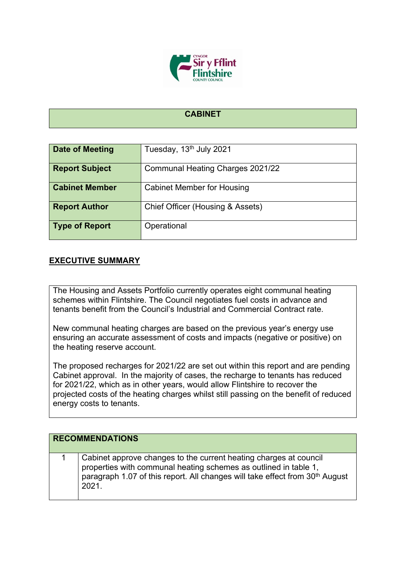

## **CABINET**

| Date of Meeting       | Tuesday, 13 <sup>th</sup> July 2021 |
|-----------------------|-------------------------------------|
| <b>Report Subject</b> | Communal Heating Charges 2021/22    |
| <b>Cabinet Member</b> | <b>Cabinet Member for Housing</b>   |
| <b>Report Author</b>  | Chief Officer (Housing & Assets)    |
| <b>Type of Report</b> | Operational                         |

## **EXECUTIVE SUMMARY**

The Housing and Assets Portfolio currently operates eight communal heating schemes within Flintshire. The Council negotiates fuel costs in advance and tenants benefit from the Council's Industrial and Commercial Contract rate.

New communal heating charges are based on the previous year's energy use ensuring an accurate assessment of costs and impacts (negative or positive) on the heating reserve account.

The proposed recharges for 2021/22 are set out within this report and are pending Cabinet approval. In the majority of cases, the recharge to tenants has reduced for 2021/22, which as in other years, would allow Flintshire to recover the projected costs of the heating charges whilst still passing on the benefit of reduced energy costs to tenants.

| <b>RECOMMENDATIONS</b> |                                                                                                                                                                                                                                            |  |  |
|------------------------|--------------------------------------------------------------------------------------------------------------------------------------------------------------------------------------------------------------------------------------------|--|--|
|                        | Cabinet approve changes to the current heating charges at council<br>properties with communal heating schemes as outlined in table 1,<br>paragraph 1.07 of this report. All changes will take effect from 30 <sup>th</sup> August<br>2021. |  |  |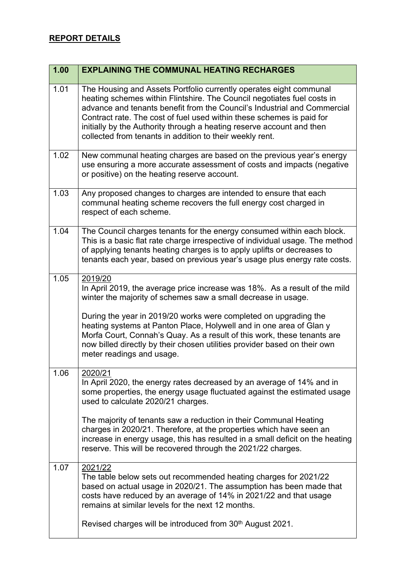## **REPORT DETAILS**

| 1.00 | <b>EXPLAINING THE COMMUNAL HEATING RECHARGES</b>                                                                                                                                                                                                                                                                                                                                                                                                                                                |
|------|-------------------------------------------------------------------------------------------------------------------------------------------------------------------------------------------------------------------------------------------------------------------------------------------------------------------------------------------------------------------------------------------------------------------------------------------------------------------------------------------------|
| 1.01 | The Housing and Assets Portfolio currently operates eight communal<br>heating schemes within Flintshire. The Council negotiates fuel costs in<br>advance and tenants benefit from the Council's Industrial and Commercial<br>Contract rate. The cost of fuel used within these schemes is paid for<br>initially by the Authority through a heating reserve account and then<br>collected from tenants in addition to their weekly rent.                                                         |
| 1.02 | New communal heating charges are based on the previous year's energy<br>use ensuring a more accurate assessment of costs and impacts (negative<br>or positive) on the heating reserve account.                                                                                                                                                                                                                                                                                                  |
| 1.03 | Any proposed changes to charges are intended to ensure that each<br>communal heating scheme recovers the full energy cost charged in<br>respect of each scheme.                                                                                                                                                                                                                                                                                                                                 |
| 1.04 | The Council charges tenants for the energy consumed within each block.<br>This is a basic flat rate charge irrespective of individual usage. The method<br>of applying tenants heating charges is to apply uplifts or decreases to<br>tenants each year, based on previous year's usage plus energy rate costs.                                                                                                                                                                                 |
| 1.05 | 2019/20<br>In April 2019, the average price increase was 18%. As a result of the mild<br>winter the majority of schemes saw a small decrease in usage.<br>During the year in 2019/20 works were completed on upgrading the<br>heating systems at Panton Place, Holywell and in one area of Glan y<br>Morfa Court, Connah's Quay. As a result of this work, these tenants are<br>now billed directly by their chosen utilities provider based on their own<br>meter readings and usage.          |
| 1.06 | 2020/21<br>In April 2020, the energy rates decreased by an average of 14% and in<br>some properties, the energy usage fluctuated against the estimated usage<br>used to calculate 2020/21 charges.<br>The majority of tenants saw a reduction in their Communal Heating<br>charges in 2020/21. Therefore, at the properties which have seen an<br>increase in energy usage, this has resulted in a small deficit on the heating<br>reserve. This will be recovered through the 2021/22 charges. |
| 1.07 | 2021/22<br>The table below sets out recommended heating charges for 2021/22<br>based on actual usage in 2020/21. The assumption has been made that<br>costs have reduced by an average of 14% in 2021/22 and that usage<br>remains at similar levels for the next 12 months.<br>Revised charges will be introduced from 30 <sup>th</sup> August 2021.                                                                                                                                           |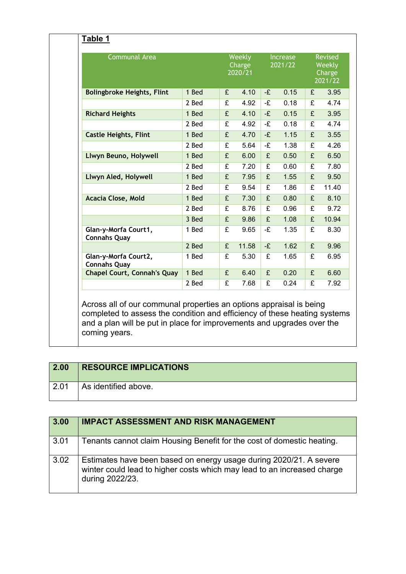| <b>Communal Area</b>                        |       |   | Weekly<br>Charge<br>2020/21 |                         | <b>Increase</b><br>2021/22 |                         | <b>Revised</b><br>Weekly<br>Charge<br>2021/22 |
|---------------------------------------------|-------|---|-----------------------------|-------------------------|----------------------------|-------------------------|-----------------------------------------------|
| <b>Bolingbroke Heights, Flint</b>           | 1 Bed | £ | 4.10                        | -£                      | 0.15                       | £                       | 3.95                                          |
|                                             | 2 Bed | £ | 4.92                        | -£                      | 0.18                       | £                       | 4.74                                          |
| <b>Richard Heights</b>                      | 1 Bed | £ | 4.10                        | $-\hat{E}$              | 0.15                       | $\overline{E}$          | 3.95                                          |
|                                             | 2 Bed | £ | 4.92                        | -£                      | 0.18                       | £                       | 4.74                                          |
| <b>Castle Heights, Flint</b>                | 1 Bed | £ | 4.70                        | -£                      | 1.15                       | £                       | 3.55                                          |
|                                             | 2 Bed | £ | 5.64                        | -£                      | 1.38                       | $\overline{f}$          | 4.26                                          |
| Llwyn Beuno, Holywell                       | 1 Bed | £ | 6.00                        | £                       | 0.50                       | £                       | 6.50                                          |
|                                             | 2 Bed | £ | 7.20                        | £                       | 0.60                       | £                       | 7.80                                          |
| Llwyn Aled, Holywell                        | 1 Bed | £ | 7.95                        | £                       | 1.55                       | $\overline{\mathbf{f}}$ | 9.50                                          |
|                                             | 2 Bed | £ | 9.54                        | £                       | 1.86                       | £                       | 11.40                                         |
| <b>Acacia Close, Mold</b>                   | 1 Bed | £ | 7.30                        | £                       | 0.80                       | £                       | 8.10                                          |
|                                             | 2 Bed | £ | 8.76                        | £                       | 0.96                       | £                       | 9.72                                          |
|                                             | 3 Bed | £ | 9.86                        | £                       | 1.08                       | £                       | 10.94                                         |
| Glan-y-Morfa Court1,<br><b>Connahs Quay</b> | 1 Bed | £ | 9.65                        | -£                      | 1.35                       | £                       | 8.30                                          |
|                                             | 2 Bed | £ | 11.58                       | -£                      | 1.62                       | £                       | 9.96                                          |
| Glan-y-Morfa Court2,<br><b>Connahs Quay</b> | 1 Bed | £ | 5.30                        | £                       | 1.65                       | £                       | 6.95                                          |
| <b>Chapel Court, Connah's Quay</b>          | 1 Bed | £ | 6.40                        | £                       | 0.20                       | £                       | 6.60                                          |
|                                             | 2 Bed | £ | 7.68                        | $\overline{\mathbf{f}}$ | 0.24                       | $\overline{E}$          | 7.92                                          |

| 2.00 | <b>RESOURCE IMPLICATIONS</b> |
|------|------------------------------|
| 2.01 | As identified above.         |

coming years.

| 3.00 | <b>IMPACT ASSESSMENT AND RISK MANAGEMENT</b>                                                                                                                     |
|------|------------------------------------------------------------------------------------------------------------------------------------------------------------------|
| 3.01 | Tenants cannot claim Housing Benefit for the cost of domestic heating.                                                                                           |
| 3.02 | Estimates have been based on energy usage during 2020/21. A severe<br>winter could lead to higher costs which may lead to an increased charge<br>during 2022/23. |